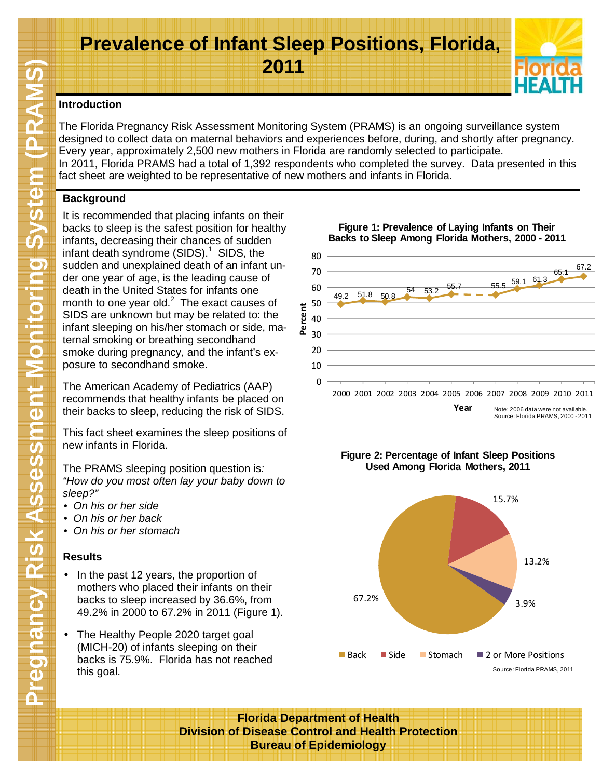# **Prevalence of Infant Sleep Positions, Florida, 2011**



### **Introduction**

The Florida Pregnancy Risk Assessment Monitoring System (PRAMS) is an ongoing surveillance system designed to collect data on maternal behaviors and experiences before, during, and shortly after pregnancy. Every year, approximately 2,500 new mothers in Florida are randomly selected to participate. In 2011, Florida PRAMS had a total of 1,392 respondents who completed the survey. Data presented in this fact sheet are weighted to be representative of new mothers and infants in Florida.

# **Background**

It is recommended that placing infants on their backs to sleep is the safest position for healthy infants, decreasing their chances of sudden infant death syndrome  $(SIDS)^1$  SIDS, the sudden and unexplained death of an infant under one year of age, is the leading cause of death in the United States for infants one month to one year old. $^2$  The exact causes of SIDS are unknown but may be related to: the infant sleeping on his/her stomach or side, maternal smoking or breathing secondhand smoke during pregnancy, and the infant's exposure to secondhand smoke.

The American Academy of Pediatrics (AAP) recommends that healthy infants be placed on their backs to sleep, reducing the risk of SIDS.

This fact sheet examines the sleep positions of new infants in Florida.

The PRAMS sleeping position question is: "How do you most often lay your baby down to sleep?"

- On his or her side
- On his or her back
- On his or her stomach

## **Results**

- In the past 12 years, the proportion of mothers who placed their infants on their backs to sleep increased by 36.6%, from 49.2% in 2000 to 67.2% in 2011 (Figure 1).
- The Healthy People 2020 target goal (MICH-20) of infants sleeping on their backs is 75.9%. Florida has not reached this goal.



**Figure 1: Prevalence of Laying Infants on Their Backs to Sleep Among Florida Mothers, 2000 - 2011**



**Florida Department of Health Division of Disease Control and Health Protection Bureau of Epidemiology**